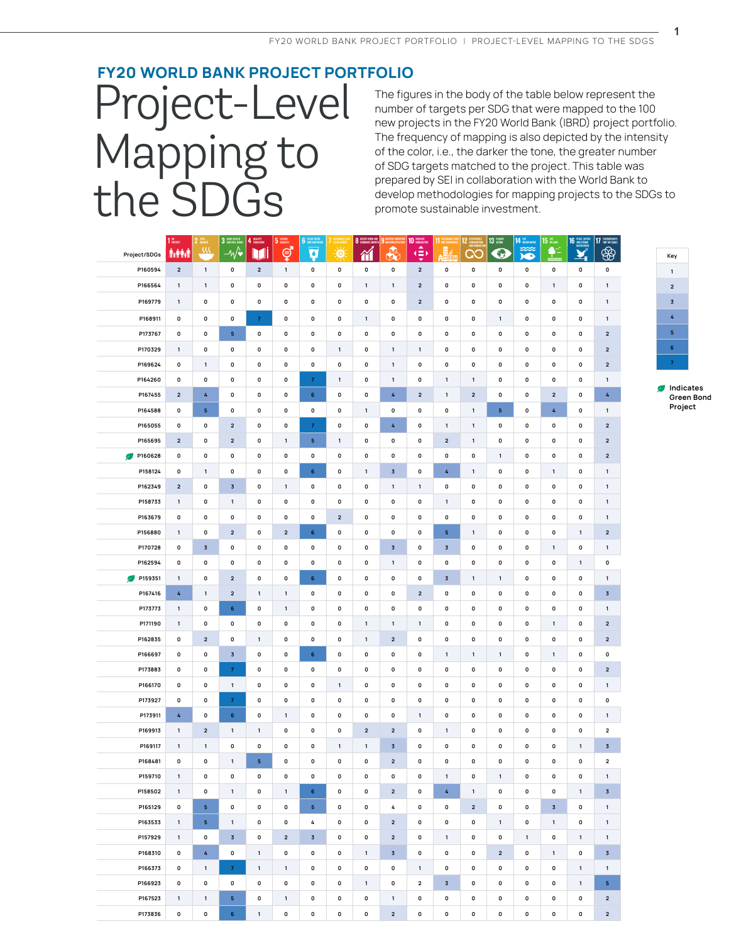## **FY20 WORLD BANK PROJECT PORTFOLIO** Project-Level Mapping to the SDGs

The figures in the body of the table below represent the number of targets per SDG that were mapped to the 100 new projects in the FY20 World Bank (IBRD) project portfolio. The frequency of mapping is also depicted by the intensity of the color, i.e., the darker the tone, the greater number of SDG targets matched to the project. This table was prepared by SEI in collaboration with the World Bank to develop methodologies for mapping projects to the SDGs to promote sustainable investment.

|                    | $110$ router            | zero<br>Hungun<br>$\mathbf{2}$ | 3 DOOD HEALTH                          | 4 QUALITY      | 5 GENER            | 6 GLEAN MATER    |                         | 8 ECENT NORK AND 9 IN |                         | 10 MEDICAL RESIDENCE    | $11 \frac{\text{ssus}}{\text{Mg}}$ | 12 <sup>1</sup>         | $13 \frac{\text{CUMIT}}{\text{ACTON}}$ | 14 BEDWARTE  | 15 LINE                                     | $\begin{array}{r} 16 \text{ mag.} \text{ arc} \\ \text{MSIMIMOM} \\ \text{MSIMIMOM} \end{array}$ | 17 PATRIESHES                |
|--------------------|-------------------------|--------------------------------|----------------------------------------|----------------|--------------------|------------------|-------------------------|-----------------------|-------------------------|-------------------------|------------------------------------|-------------------------|----------------------------------------|--------------|---------------------------------------------|--------------------------------------------------------------------------------------------------|------------------------------|
| Project/SDGs       | <b>AvAAdA</b>           | $\overline{m}$                 | $-\sqrt{\bullet}$                      | M              | ේ                  | À                | 美                       | 衜                     | ♣                       | ۰∌                      | H4                                 | $\infty$                | $\bullet$                              | <b>ISK</b>   | $\frac{\blacklozenge}{\blacktriangleright}$ |                                                                                                  | $\circledast$                |
| P160594            | $\overline{\mathbf{2}}$ | $\mathbf 1$                    | 0                                      | $\overline{2}$ | $\mathbf{1}$       | 0                | $\pmb{0}$               | $\pmb{0}$             | $\pmb{0}$               | $\mathbf{2}$            | 0                                  | 0                       | $\mathbf 0$                            | 0            | $\mathbf 0$                                 | $\pmb{0}$                                                                                        | $\pmb{0}$                    |
| P166564            | $\mathbf{1}$            | $\mathbf{1}$                   | 0                                      | $\mathbf 0$    | $\mathbf 0$        | 0                | $\mathbf 0$             | $\mathbf{1}$          | $\mathbf{1}$            | $\overline{2}$          | 0                                  | $\mathbf 0$             | 0                                      | $\mathbf 0$  | $\mathbf{1}$                                | $\mathbf 0$                                                                                      | $\mathbf{1}$                 |
| P169779            | $\mathbf 1$             | 0                              | 0                                      | 0              | $\pmb{0}$          | $\mathbf 0$      | $\mathbf 0$             | $\mathbf 0$           | 0                       | $\overline{2}$          | 0                                  | 0                       | 0                                      | 0            | 0                                           | $\mathbf 0$                                                                                      | $\mathbf{1}$                 |
| P168911            | 0                       | 0                              | 0                                      | $\overline{7}$ | 0                  | 0                | 0                       | $\mathbf{1}$          | 0                       | 0                       | 0                                  | 0                       | $\mathbf{1}$                           | 0            | 0                                           | 0                                                                                                | $\mathbf{1}$                 |
| P173767            | 0                       | 0                              | 5                                      | 0              | $\pmb{0}$          | $\pmb{0}$        | $\pmb{0}$               | $\mathbf 0$           | 0                       | $\pmb{0}$               | 0                                  | 0                       | 0                                      | 0            | 0                                           | 0                                                                                                | $\overline{\mathbf{2}}$      |
| P170329            | $\mathbf{1}$            | 0                              | 0                                      | 0              | 0                  | 0                | $\mathbf{1}$            | 0                     | $\mathbf{1}$            | $\mathbf{1}$            | 0                                  | 0                       | 0                                      | 0            | 0                                           | 0                                                                                                | $\overline{\mathbf{2}}$      |
| P169624            | 0                       | $\mathbf{1}$                   | 0                                      | 0              | $\pmb{0}$          | $\mathbf 0$      | $\mathbf 0$             | $\mathbf 0$           | $\mathbf{1}$            | 0                       | 0                                  | 0                       | 0                                      | 0            | 0                                           | 0                                                                                                | $\overline{\mathbf{2}}$      |
| P164260            | 0                       | $\mathbf 0$                    | 0                                      | $\mathbf 0$    | $\mathbf 0$        | $\overline{7}$   | $\mathbf{1}$            | $\mathbf 0$           | $\mathbf{1}$            | $\mathbf 0$             | $\mathbf{1}$                       | $\mathbf{1}$            | 0                                      | 0            | $\mathbf 0$                                 | $\mathbf 0$                                                                                      | $\mathbf{1}$                 |
| P167455            | $\mathbf 2$             | 4                              | 0                                      | 0              | $\mathbf 0$        | $\,$ 6           | 0                       | 0                     | 4                       | $\overline{2}$          | $\mathbf{1}$                       | $\mathbf 2$             | 0                                      | 0            | $\mathbf 2$                                 | $\mathbf 0$                                                                                      | 4                            |
| P164588            | 0                       | $\mathbf 5$                    | 0                                      | 0              | $\pmb{0}$          | $\mathbf 0$      | 0                       | $\mathbf{1}$          | 0                       | $\mathbf 0$             | 0                                  | $\mathbf{1}$            | $\mathbf 5$                            | 0            | 4                                           | 0                                                                                                | $\mathbf{1}$                 |
| P165055            | 0                       | 0                              | $\overline{\mathbf{c}}$                | 0              | $\pmb{0}$          | $\boldsymbol{7}$ | 0                       | 0                     | 4                       | 0                       | $\mathbf{1}$                       | $\mathbf{1}$            | 0                                      | 0            | 0                                           | 0                                                                                                | $\overline{\mathbf{2}}$      |
| P165695            | $\mathbf 2$             | 0                              | $\overline{\mathbf{c}}$                | $\mathbf 0$    | $\mathbf 1$        | ${\bf 5}$        | $\mathbf{1}$            | $\pmb{0}$             | $\mathbf 0$             | $\mathbf 0$             | $\overline{2}$                     | $\mathbf 1$             | 0                                      | 0            | 0                                           | 0                                                                                                | $\overline{2}$               |
| P160628            | 0                       | 0                              | 0                                      | $\mathbf 0$    | $\pmb{0}$          | $\pmb{0}$        | 0                       | $\mathbf 0$           | 0                       | $\mathbf 0$             | 0                                  | 0                       | $\mathbf{1}$                           | 0            | 0                                           | 0                                                                                                | $\overline{\mathbf{2}}$      |
| P158124            | 0                       | $\mathbf{1}$                   | 0                                      | 0              | $\pmb{0}$          | $\bf 6$          | $\mathbf 0$             | $\mathbf{1}$          | $\overline{\mathbf{3}}$ | $\mathbf 0$             | $\overline{4}$                     | $\mathbf{1}$            | 0                                      | 0            | $\mathbf{1}$                                | 0                                                                                                | $\mathbf{1}$                 |
| P162349            | $\mathbf 2$             | 0                              | $\overline{\mathbf{3}}$                | 0              | $\mathbf{1}$       | 0                | 0                       | 0                     | $\mathbf{1}$            | $\mathbf{1}$            | 0                                  | 0                       | 0                                      | 0            | 0                                           | 0                                                                                                | $\mathbf{1}$                 |
| P158733            | $\mathbf 1$             | 0                              | $\mathbf{1}$                           | 0              | $\mathbf 0$        | 0                | $\mathbf 0$             | $\mathbf 0$           | $\mathbf 0$             | $\mathbf 0$             | $\mathbf{1}$                       | 0                       | 0                                      | 0            | $\mathbf 0$                                 | 0                                                                                                | $\mathbf{1}$                 |
| P163679            | 0                       | 0                              | 0                                      | 0              | 0                  | 0                | $\overline{\mathbf{2}}$ | 0                     | 0                       | 0                       | 0                                  | 0                       | 0                                      | 0            | 0                                           | 0                                                                                                | $\mathbf{1}$                 |
| P156880            | $\mathbf{1}$            | 0                              | $\overline{\mathbf{c}}$                | 0              | $\mathbf 2$        | $\,$ 6 $\,$      | $\mathbf 0$             | $\mathbf 0$           | 0                       | $\mathbf 0$             | 5 <sub>1</sub>                     | $\mathbf{1}$            | 0                                      | 0            | 0                                           | $\mathbf{1}$                                                                                     | $\overline{\mathbf{2}}$      |
| P170728            | 0                       | $\overline{\mathbf{3}}$        | 0                                      | 0              | 0                  | 0                | 0                       | 0                     | $\overline{\mathbf{3}}$ | 0                       | $\overline{\mathbf{3}}$            | 0                       | 0                                      | 0            | $\mathbf{1}$                                | 0                                                                                                | $\mathbf{1}$                 |
| P162594            | 0                       | 0                              | 0                                      | $\mathbf 0$    | $\mathbf 0$        | $\mathbf 0$      | 0                       | 0                     | $\mathbf{1}$            | 0                       | 0                                  | 0                       | $\pmb{0}$                              | 0            | 0                                           | $\mathbf 1$                                                                                      | $\mathbf 0$                  |
| P159351            | $\mathbf{1}$            | 0                              | $\overline{2}$                         | $\mathbf 0$    | $\mathbf 0$        | $\mathbf 6$      | $\mathbf 0$             | $\mathbf 0$           | 0                       | $\mathbf 0$             | $\overline{3}$                     | $\mathbf{1}$            | $\mathbf{1}$                           | $\mathbf 0$  | $\mathbf 0$                                 | $\mathbf 0$                                                                                      | $\mathbf{1}$                 |
| P167416            | 4                       | $\mathbf{1}$                   | $\overline{\mathbf{2}}$                | $\mathbf{1}$   | $\mathbf{1}$       | 0                | 0                       | 0                     | 0                       | $\overline{2}$          | 0                                  | 0                       | 0                                      | 0            | 0                                           | 0                                                                                                | $\overline{\mathbf{3}}$      |
| P173773            | $\mathbf{1}$            | 0                              | 6                                      | 0              | $\mathbf{1}$       | 0                | 0                       | $\mathbf 0$           | $\mathbf 0$             | $\mathbf 0$             | 0                                  | 0                       | 0                                      | 0            | $\mathbf 0$                                 | $\mathbf 0$                                                                                      | $\mathbf{1}$                 |
| P171190            | $\mathbf{1}$            | 0                              | 0                                      | 0              | $\mathbf 0$        | 0                | 0                       | $\mathbf{1}$          | $\mathbf{1}$            | $\mathbf{1}$            | 0                                  | 0                       | 0                                      | 0            | 1                                           | 0                                                                                                | $\overline{2}$               |
| P162835            | 0                       | $\overline{\mathbf{2}}$        | 0                                      | $\mathbf{1}$   | $\pmb{0}$          | $\mathbf 0$      | $\mathbf 0$             | $\mathbf{1}$          | $\overline{2}$          | $\mathbf 0$             | 0                                  | 0                       | 0                                      | 0            | $\pmb{0}$                                   | $\mathbf 0$                                                                                      | $\overline{\mathbf{2}}$      |
| P166697<br>P173883 | 0<br>0                  | 0<br>0                         | $\overline{\mathbf{3}}$<br>$\mathbf 7$ | 0<br>0         | 0<br>$\pmb{0}$     | 6<br>$\pmb{0}$   | 0<br>$\pmb{0}$          | 0<br>$\mathbf 0$      | 0<br>0                  | 0<br>$\mathbf 0$        | $\mathbf{1}$<br>0                  | $\mathbf{1}$<br>0       | $\mathbf{1}$<br>0                      | 0<br>0       | $\mathbf{1}$<br>$\pmb{0}$                   | 0<br>0                                                                                           | 0<br>$\overline{\mathbf{2}}$ |
| P166170            | 0                       | 0                              | $\mathbf{1}$                           | 0              | 0                  | 0                | $\mathbf{1}$            | 0                     | 0                       | 0                       | 0                                  | 0                       | 0                                      | 0            | 0                                           | 0                                                                                                | $\mathbf{1}$                 |
| P173927            | 0                       | 0                              | $\mathbf{7}$                           | 0              | $\pmb{0}$          | $\mathbf 0$      | $\mathbf 0$             | $\mathbf 0$           | 0                       | $\mathbf 0$             | 0                                  | 0                       | 0                                      | 0            | 0                                           | 0                                                                                                | $\mathbf 0$                  |
| P173911            | 4                       | 0                              | 6                                      | 0              | $\mathbf{1}$       | 0                | 0                       | 0                     | 0                       | $\mathbf{1}$            | 0                                  | 0                       | 0                                      | 0            | 0                                           | 0                                                                                                | $\mathbf{1}$                 |
| P169913            | $\mathbf{1}$            | $\overline{\mathbf{2}}$        | 1                                      | $\mathbf{1}$   | $\mathbf 0$        | 0                | 0                       | $\overline{2}$        | $\overline{\mathbf{2}}$ | 0                       | $\mathbf{1}$                       | 0                       | 0                                      | 0            | 0                                           | 0                                                                                                | $\overline{\mathbf{2}}$      |
| P169117            | $\mathbf{1}$            | $\mathbf{1}$                   | 0                                      | 0              | $\mathbf 0$        | $\mathbf 0$      | $\mathbf{1}$            | $\mathbf{1}$          | $\overline{3}$          | $\mathbf 0$             | 0                                  | $\mathbf 0$             | 0                                      | 0            | $\mathbf 0$                                 | $\mathbf{1}$                                                                                     | $\overline{3}$               |
| P168481            | 0                       | 0                              | 1                                      | 5              | $\pmb{0}$          | $\mathbf 0$      | 0                       | $\pmb{0}$             | $\overline{\mathbf{2}}$ | $\pmb{0}$               | 0                                  | 0                       | 0                                      | 0            | 0                                           | 0                                                                                                | $\mathbf 2$                  |
| P159710            | $\mathbf{1}$            | $\mathbf 0$                    | $\mathbf 0$                            | $\mathbf 0$    | $\mathbf 0$        | $\mathbf 0$      | $\pmb{0}$               | 0                     | $\mathbf 0$             | $\pmb{0}$               | $\mathbf{1}$                       | $\mathbf 0$             | $\mathbf{1}$                           | $\pmb{0}$    | 0                                           | $\pmb{0}$                                                                                        | $\mathbf{1}$                 |
| P158502            | $\mathbf{1}$            | $\mathbf 0$                    | $\mathbf{1}$                           | $\mathbf 0$    | $\,$ 1 $\,$        | 6 <sub>1</sub>   | $\mathbf 0$             | $\pmb{0}$             | $\overline{\mathbf{2}}$ | $\pmb{0}$               | 4                                  | $\mathbf{1}$            | $\mathbf 0$                            | $\pmb{0}$    | $\pmb{0}$                                   | $\mathbf 1$                                                                                      | $\overline{\mathbf{3}}$      |
| P165129            | $\mathbf 0$             | $\,$ 5 $\,$                    | $\mathbf 0$                            | $\mathbf 0$    | $\mathbf 0$        | 5 <sub>1</sub>   | $\mathbf 0$             | 0                     | 4                       | $\pmb{0}$               | $\mathbf 0$                        | $\overline{\mathbf{2}}$ | $\mathbf 0$                            | 0            | $\overline{\mathbf{3}}$                     | $\pmb{0}$                                                                                        | $\mathbf{1}$                 |
| P163533            | $\mathbf{1}$            | $\,$ 5 $\,$                    | $\mathbf{1}$                           | $\mathbf 0$    | $\mathbf 0$        | 4                | 0                       | $\pmb{0}$             | $\overline{\mathbf{2}}$ | 0                       | $\mathbf 0$                        | $\mathbf 0$             | $\mathbf{1}$                           | $\mathbf 0$  | $\mathbf{1}$                                | 0                                                                                                | $\mathbf{1}$                 |
| P157929            | $\mathbf{1}$            | 0                              | $\overline{\mathbf{3}}$                | $\mathbf 0$    | $\overline{2}$     | $\overline{3}$   | $\mathbf 0$             | $\mathbf 0$           | $\overline{2}$          | $\mathbf 0$             | $\mathbf{1}$                       | $\mathbf 0$             | $\mathbf 0$                            | $\mathbf{1}$ | 0                                           | $\mathbf 1$                                                                                      | $\mathbf{1}$                 |
| P168310            | 0                       | 4                              | $\mathbf 0$                            | $\mathbf{1}$   | $\mathbf 0$        | $\mathbf 0$      | 0                       | $\mathbf{1}$          | $\overline{\mathbf{3}}$ | 0                       | $\mathbf 0$                        | 0                       | $\overline{2}$                         | 0            | 1                                           | 0                                                                                                | $\overline{\mathbf{3}}$      |
| P166373            | $\pmb{0}$               | $\mathbf{1}$                   | $\overline{7}$                         | $\mathbf{1}$   | $\mathbf{1}$       | $\mathbf 0$      | $\mathbf 0$             | $\mathbf 0$           | $\mathbf 0$             | $\mathbf{1}$            | 0                                  | $\pmb{0}$               | $\mathbf 0$                            | 0            | 0                                           | $\mathbf{1}$                                                                                     | $\mathbf{1}$                 |
| P166923            | 0                       | $\pmb{0}$                      | $\pmb{0}$                              | $\mathbf 0$    | $\mathbf 0$        | $\mathbf 0$      | 0                       | $\mathbf{1}$          | 0                       | $\overline{\mathbf{2}}$ | $\overline{\mathbf{3}}$            | $\pmb{0}$               | $\mathbf 0$                            | 0            | 0                                           | $\mathbf 1$                                                                                      | ${\bf 5}$                    |
| P167523            | $\mathbf{1}$            | $\mathbf{1}$                   | 5                                      | $\mathbf 0$    | $\mathbf{1}$       | $\mathbf 0$      | 0                       | 0                     | $\mathbf{1}$            | 0                       | 0                                  | $\pmb{0}$               | $\mathbf 0$                            | $\pmb{0}$    | 0                                           | $\pmb{0}$                                                                                        | $\mathbf 2$                  |
| P173836            | 0                       | 0                              | $\bf 6$                                | $\mathbf{1}$   | $\pmb{\mathsf{o}}$ | $\mathbf 0$      | $\mathbf 0$             | $\mathbf 0$           | $\overline{2}$          | $\mathbf 0$             | 0                                  | $\pmb{\mathsf{o}}$      | $\mathbf 0$                            | $\mathbf 0$  | $\mathbf 0$                                 | 0                                                                                                | $\mathbf 2$                  |



**1**

*Indicates* **Green Bond Project**